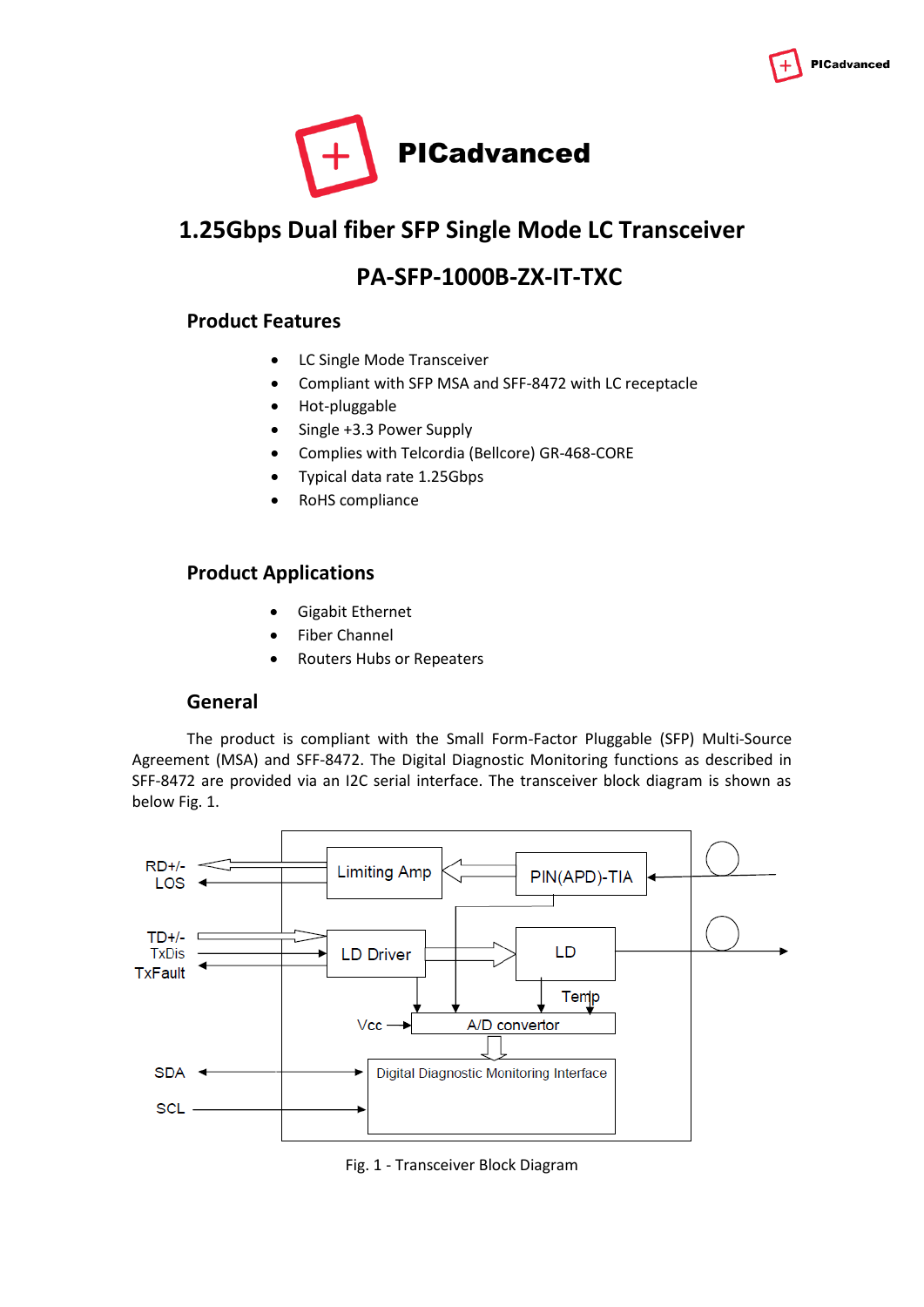



# **1.25Gbps Dual fiber SFP Single Mode LC Transceiver**

## **PA-SFP-1000B-ZX-IT-TXC**

### **Product Features**

- LC Single Mode Transceiver
- Compliant with SFP MSA and SFF-8472 with LC receptacle
- Hot-pluggable
- Single +3.3 Power Supply
- Complies with Telcordia (Bellcore) GR-468-CORE
- Typical data rate 1.25Gbps
- RoHS compliance

### **Product Applications**

- Gigabit Ethernet
- Fiber Channel
- Routers Hubs or Repeaters

#### **General**

The product is compliant with the Small Form-Factor Pluggable (SFP) Multi-Source Agreement (MSA) and SFF-8472. The Digital Diagnostic Monitoring functions as described in SFF-8472 are provided via an I2C serial interface. The transceiver block diagram is shown as below Fig. 1.



Fig. 1 - Transceiver Block Diagram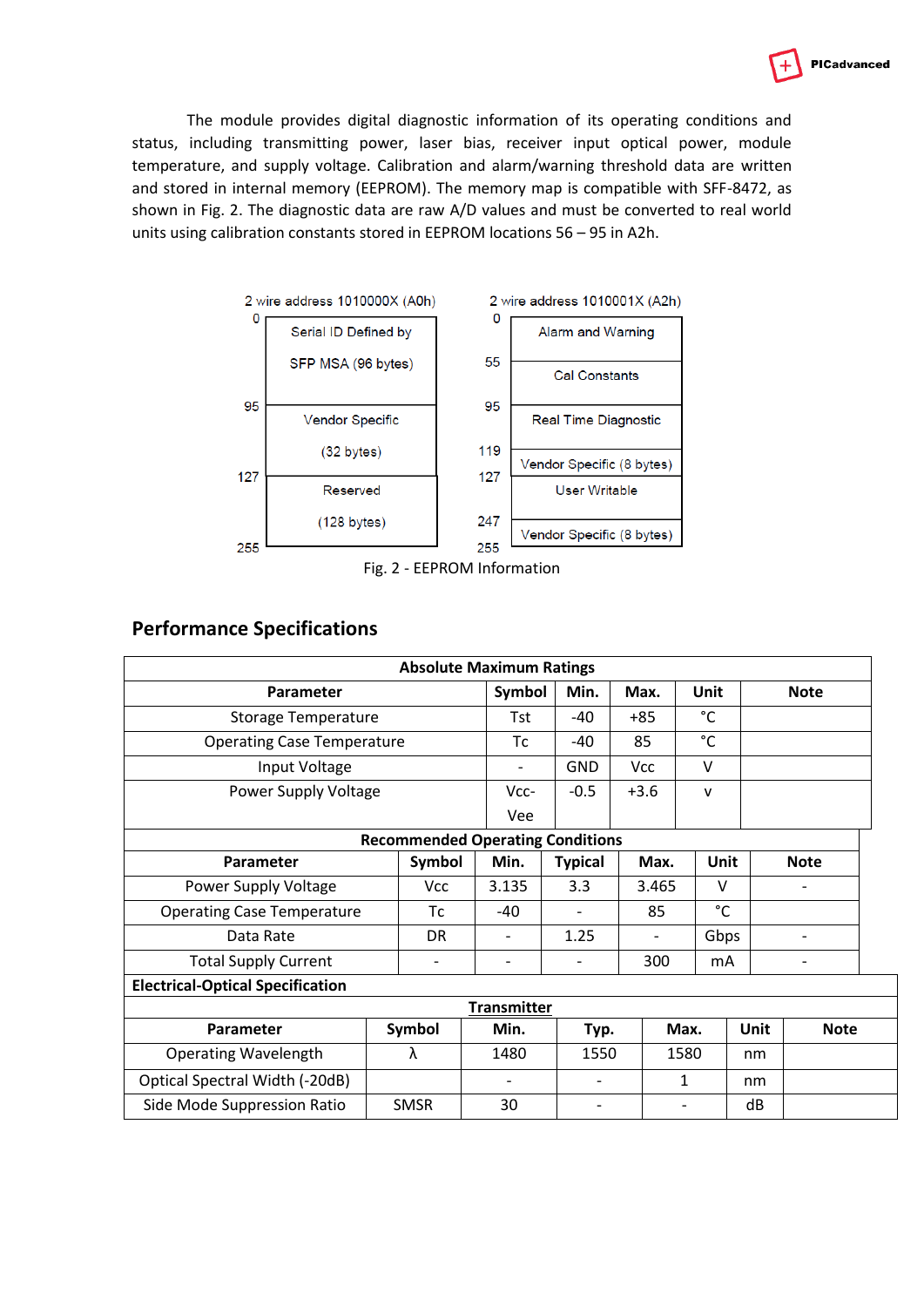

The module provides digital diagnostic information of its operating conditions and status, including transmitting power, laser bias, receiver input optical power, module temperature, and supply voltage. Calibration and alarm/warning threshold data are written and stored in internal memory (EEPROM). The memory map is compatible with SFF-8472, as shown in Fig. 2. The diagnostic data are raw A/D values and must be converted to real world units using calibration constants stored in EEPROM locations 56 – 95 in A2h.



Fig. 2 - EEPROM Information

### **Performance Specifications**

|                                         |  |                          | <b>Absolute Maximum Ratings</b> |                              |        |                          |              |      |             |  |
|-----------------------------------------|--|--------------------------|---------------------------------|------------------------------|--------|--------------------------|--------------|------|-------------|--|
| Parameter                               |  |                          | Symbol                          | Min.                         | Max.   |                          | <b>Unit</b>  |      | <b>Note</b> |  |
| <b>Storage Temperature</b>              |  |                          |                                 | -40                          | $+85$  |                          | $^{\circ}$ C |      |             |  |
| <b>Operating Case Temperature</b>       |  |                          | Tc                              | -40                          | 85     |                          | $^{\circ}$ C |      |             |  |
| Input Voltage                           |  |                          | -                               | <b>GND</b>                   | Vcc    |                          | $\vee$       |      |             |  |
| Power Supply Voltage                    |  |                          | $Vcc-$                          | $-0.5$                       | $+3.6$ |                          | $\mathsf{v}$ |      |             |  |
|                                         |  |                          | Vee                             |                              |        |                          |              |      |             |  |
| <b>Recommended Operating Conditions</b> |  |                          |                                 |                              |        |                          |              |      |             |  |
| <b>Parameter</b>                        |  | Symbol                   | Min.                            | <b>Typical</b>               |        | Max.                     | Unit         |      | <b>Note</b> |  |
| Power Supply Voltage                    |  | Vcc                      | 3.135                           | 3.3                          |        | 3.465                    | $\vee$       |      |             |  |
| <b>Operating Case Temperature</b>       |  | Тc                       | $-40$                           |                              |        | 85                       | $^{\circ}$ C |      |             |  |
| Data Rate                               |  | <b>DR</b>                | $\overline{\phantom{0}}$        | 1.25                         |        |                          | Gbps         |      |             |  |
| <b>Total Supply Current</b>             |  | $\overline{\phantom{a}}$ |                                 |                              |        | 300                      | mA           |      |             |  |
| <b>Electrical-Optical Specification</b> |  |                          |                                 |                              |        |                          |              |      |             |  |
| <b>Transmitter</b>                      |  |                          |                                 |                              |        |                          |              |      |             |  |
| Parameter                               |  | Symbol                   | Min.                            | Typ.                         |        | Max.                     |              | Unit | <b>Note</b> |  |
| <b>Operating Wavelength</b>             |  | λ                        | 1480                            | 1550                         |        | 1580                     |              | nm   |             |  |
| Optical Spectral Width (-20dB)          |  |                          | $\overline{\phantom{a}}$        | $\qquad \qquad \blacksquare$ |        | 1                        |              | nm   |             |  |
| Side Mode Suppression Ratio             |  | <b>SMSR</b>              | 30                              | $\overline{\phantom{0}}$     |        | $\overline{\phantom{0}}$ |              | dB   |             |  |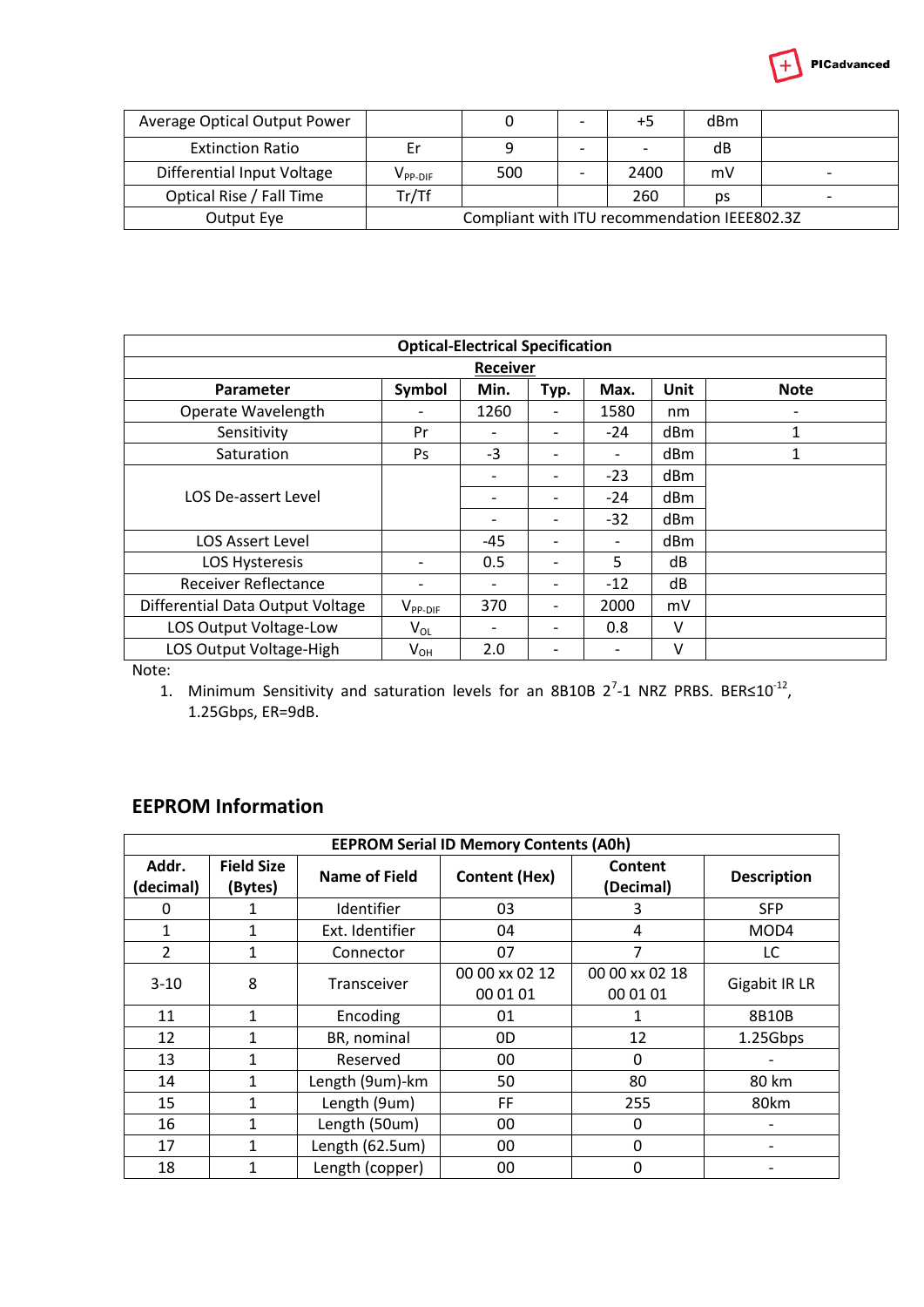

| Average Optical Output Power |                                              |     | $\overline{\phantom{0}}$ | +5                       | dBm |                          |
|------------------------------|----------------------------------------------|-----|--------------------------|--------------------------|-----|--------------------------|
| <b>Extinction Ratio</b>      | Er                                           |     | -                        | $\overline{\phantom{a}}$ | dB  |                          |
| Differential Input Voltage   | $\mathsf{v}_{\mathsf{PP-DIF}}$               | 500 | $\overline{\phantom{a}}$ | 2400                     | mV  |                          |
| Optical Rise / Fall Time     | Tr/Tf                                        |     |                          | 260                      | рs  | $\overline{\phantom{0}}$ |
| Output Eye                   | Compliant with ITU recommendation IEEE802.3Z |     |                          |                          |     |                          |

| <b>Optical-Electrical Specification</b> |                 |                          |                          |       |      |             |  |
|-----------------------------------------|-----------------|--------------------------|--------------------------|-------|------|-------------|--|
|                                         | <b>Receiver</b> |                          |                          |       |      |             |  |
| Parameter                               | Symbol          | Min.                     | Typ.                     | Max.  | Unit | <b>Note</b> |  |
| Operate Wavelength                      |                 | 1260                     |                          | 1580  | nm   |             |  |
| Sensitivity                             | Pr              | $\overline{\phantom{a}}$ | -                        | $-24$ | dBm  | 1           |  |
| Saturation                              | <b>Ps</b>       | -3                       | $\overline{\phantom{0}}$ |       | dBm  | 1           |  |
|                                         |                 | $\overline{\phantom{a}}$ | -                        | $-23$ | dBm  |             |  |
| LOS De-assert Level                     |                 |                          |                          | $-24$ | dBm  |             |  |
|                                         |                 | $\overline{\phantom{0}}$ | -                        | $-32$ | dBm  |             |  |
| <b>LOS Assert Level</b>                 |                 | $-45$                    |                          |       | dBm  |             |  |
| <b>LOS Hysteresis</b>                   |                 | 0.5                      | $\overline{\phantom{0}}$ | 5     | dB   |             |  |
| Receiver Reflectance                    |                 |                          |                          | $-12$ | dB   |             |  |
| Differential Data Output Voltage        | $V_{PP-DIF}$    | 370                      | -                        | 2000  | mV   |             |  |
| LOS Output Voltage-Low                  | $V_{OL}$        | $\overline{\phantom{a}}$ | -                        | 0.8   | v    |             |  |
| LOS Output Voltage-High                 | $V_{OH}$        | 2.0                      |                          |       | v    |             |  |

Note:

1. Minimum Sensitivity and saturation levels for an 8B10B  $2^7$ -1 NRZ PRBS. BER $\leq 10^{-12}$ , 1.25Gbps, ER=9dB.

## **EEPROM Information**

| <b>EEPROM Serial ID Memory Contents (A0h)</b> |                              |                    |                            |                            |                    |  |  |
|-----------------------------------------------|------------------------------|--------------------|----------------------------|----------------------------|--------------------|--|--|
| Addr.<br>(decimal)                            | <b>Field Size</b><br>(Bytes) | Name of Field      | <b>Content (Hex)</b>       | Content<br>(Decimal)       | <b>Description</b> |  |  |
| 0                                             |                              | Identifier         | 03                         | 3                          | <b>SFP</b>         |  |  |
| 1                                             | 1                            | Ext. Identifier    | 04                         | 4                          | MOD4               |  |  |
| 2                                             | 1                            | Connector          | 07                         | 7                          | LC.                |  |  |
| $3 - 10$                                      | 8                            | <b>Transceiver</b> | 00 00 xx 02 12<br>00 01 01 | 00 00 xx 02 18<br>00 01 01 | Gigabit IR LR      |  |  |
| 11                                            | 1                            | Encoding           | 01                         |                            | 8B10B              |  |  |
| 12                                            | 1                            | BR, nominal        | 0D                         | 12                         | 1.25Gbps           |  |  |
| 13                                            | 1                            | Reserved           | 00                         | 0                          |                    |  |  |
| 14                                            | 1                            | Length (9um)-km    | 50                         | 80                         | 80 km              |  |  |
| 15                                            | 1                            | Length (9um)       | FF                         | 255                        | 80km               |  |  |
| 16                                            | 1                            | Length (50um)      | 00                         | 0                          |                    |  |  |
| 17                                            | 1                            | Length (62.5um)    | 00                         | 0                          |                    |  |  |
| 18                                            |                              | Length (copper)    | 00                         | 0                          |                    |  |  |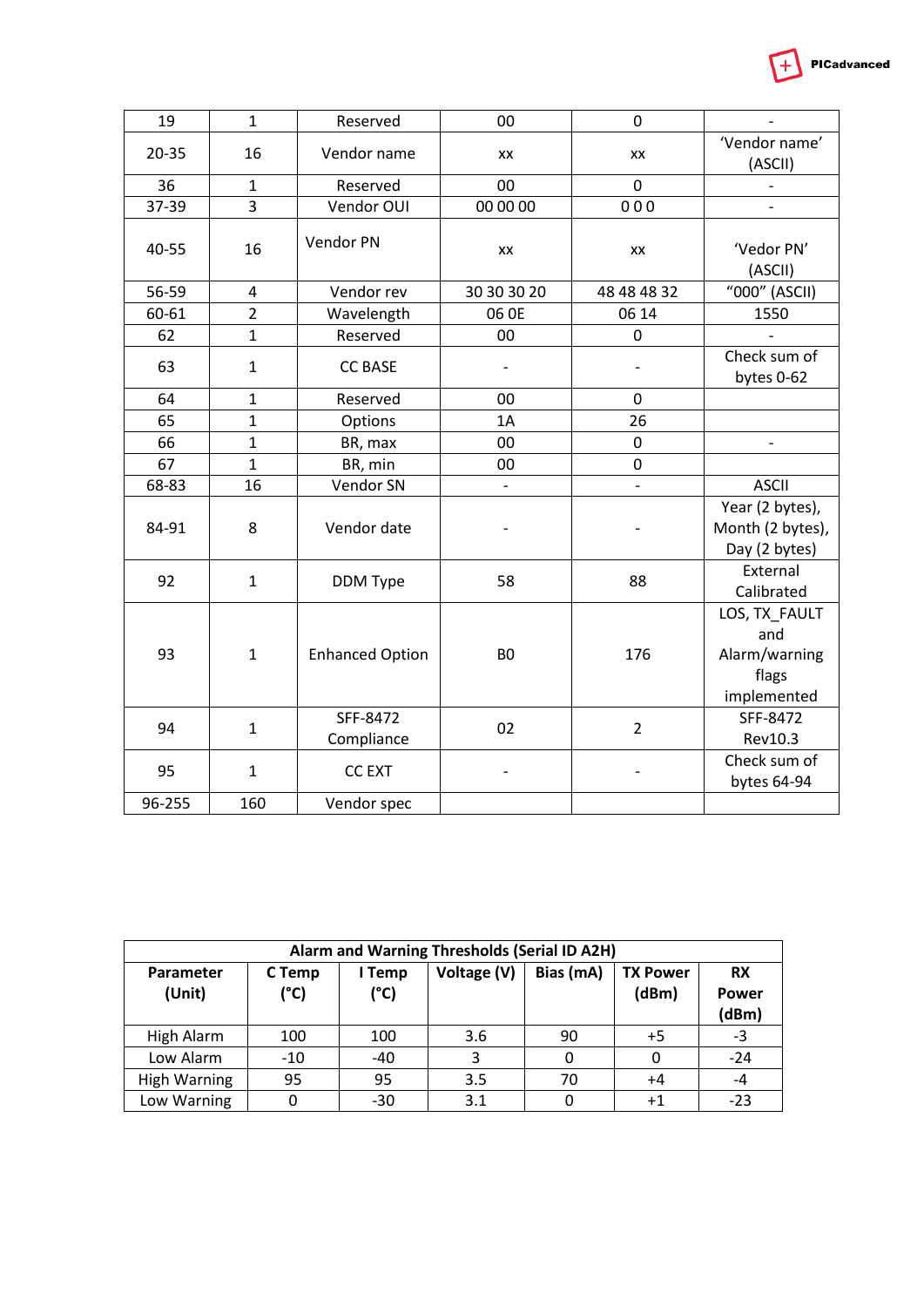| 19            |    | Reserved    | 00            | 0           |                          |
|---------------|----|-------------|---------------|-------------|--------------------------|
| 20-35         | 16 | Vendor name | XX            | XX          | 'Vendor name'<br>(ASCII) |
| 36            |    | Reserved    | 00            | 0           |                          |
| 37-39         | 3  | Vendor OUI  | 00 00 00      | 000         | $\overline{\phantom{0}}$ |
| 40-55         | 16 | Vendor PN   | XX            | XX          | 'Vedor PN'<br>(ASCII)    |
| 56-59         | 4  | Vendor rev  | 30 30 30 20   | 48 48 48 32 | "000" (ASCII)            |
| 60-61         | 2  | Wavelength  | 06 OE         | 06 14       | 1550                     |
| $\sim$ $\sim$ |    |             | $\sim$ $\sim$ | $\sim$      |                          |

PICadvanced

 $+$ 

| 40-55  | 16             |                        | XX                       | XX                       | 'Vedor PN'       |
|--------|----------------|------------------------|--------------------------|--------------------------|------------------|
|        |                |                        |                          |                          | (ASCII)          |
| 56-59  | 4              | Vendor rev             | 30 30 30 20              | 48 48 48 32              | "000" (ASCII)    |
| 60-61  | $\overline{2}$ | Wavelength             | 06 OE                    | 06 14                    | 1550             |
| 62     | 1              | Reserved               | 00                       | 0                        |                  |
| 63     | $\mathbf{1}$   | <b>CC BASE</b>         |                          |                          | Check sum of     |
|        |                |                        |                          |                          | bytes 0-62       |
| 64     | 1              | Reserved               | 00                       | $\mathbf 0$              |                  |
| 65     | $\mathbf{1}$   | Options                | 1A                       | 26                       |                  |
| 66     | 1              | BR, max                | 00                       | 0                        |                  |
| 67     | $\mathbf{1}$   | BR, min                | 00                       | 0                        |                  |
| 68-83  | 16             | Vendor SN              | $\overline{\phantom{0}}$ | $\overline{\phantom{a}}$ | <b>ASCII</b>     |
|        |                |                        |                          |                          | Year (2 bytes),  |
| 84-91  | 8              | Vendor date            |                          |                          | Month (2 bytes), |
|        |                |                        |                          |                          | Day (2 bytes)    |
| 92     | $\mathbf{1}$   | DDM Type               | 58                       | 88                       | External         |
|        |                |                        |                          |                          | Calibrated       |
|        |                |                        |                          |                          | LOS, TX_FAULT    |
|        |                |                        |                          |                          | and              |
| 93     | $\mathbf{1}$   | <b>Enhanced Option</b> | B <sub>0</sub>           | 176                      | Alarm/warning    |
|        |                |                        |                          |                          | flags            |
|        |                |                        |                          |                          | implemented      |
| 94     | $\mathbf{1}$   | SFF-8472               | 02                       | $\overline{2}$           | SFF-8472         |
|        |                | Compliance             |                          |                          | Rev10.3          |
| 95     | $\mathbf{1}$   | <b>CC EXT</b>          |                          |                          | Check sum of     |
|        |                |                        |                          |                          | bytes 64-94      |
| 96-255 | 160            | Vendor spec            |                          |                          |                  |
|        |                |                        |                          |                          |                  |

| Alarm and Warning Thresholds (Serial ID A2H) |                |                |             |           |                          |                    |
|----------------------------------------------|----------------|----------------|-------------|-----------|--------------------------|--------------------|
| Parameter<br>(Unit)                          | C Temp<br>(°C) | I Temp<br>(°C) | Voltage (V) | Bias (mA) | <b>TX Power</b><br>(dBm) | <b>RX</b><br>Power |
|                                              |                |                |             |           |                          | (dBm)              |
| High Alarm                                   | 100            | 100            | 3.6         | 90        | $+5$                     | -3                 |
| Low Alarm                                    | $-10$          | -40            | 3           |           |                          | $-24$              |
| High Warning                                 | 95             | 95             | 3.5         | 70        | $+4$                     | $-4$               |
| Low Warning                                  |                | $-30$          | 3.1         |           | $^{+1}$                  | $-23$              |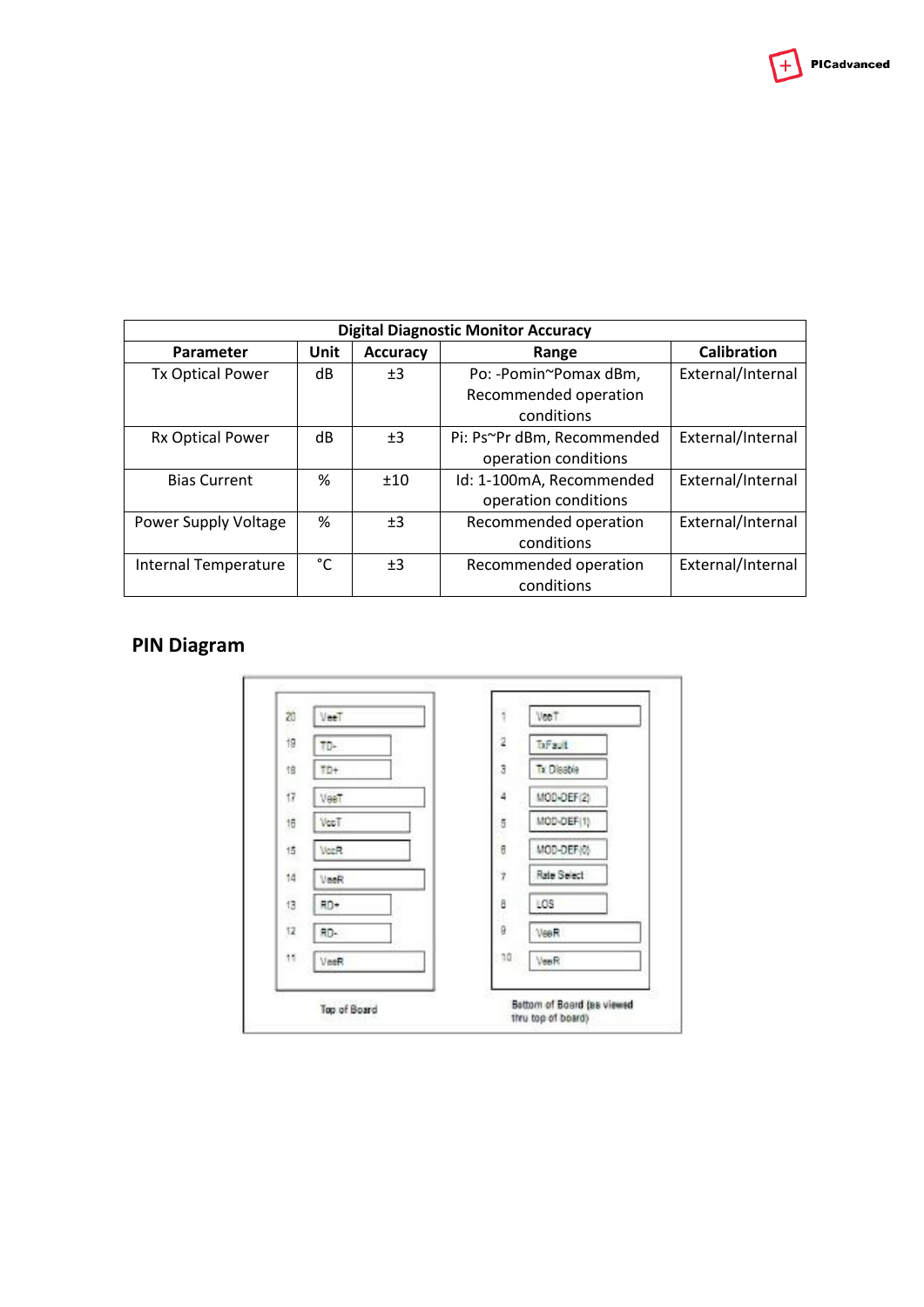$+$  PICadvanced

| <b>Digital Diagnostic Monitor Accuracy</b> |             |                 |                            |                   |
|--------------------------------------------|-------------|-----------------|----------------------------|-------------------|
| Parameter                                  | <b>Unit</b> | <b>Accuracy</b> | Range                      | Calibration       |
| <b>Tx Optical Power</b>                    | dB          | ±3              | Po: -Pomin~Pomax dBm,      | External/Internal |
|                                            |             |                 | Recommended operation      |                   |
|                                            |             |                 | conditions                 |                   |
| Rx Optical Power                           | dB          | ±3              | Pi: Ps~Pr dBm, Recommended | External/Internal |
|                                            |             |                 | operation conditions       |                   |
| <b>Bias Current</b>                        | %           | ±10             | Id: 1-100mA, Recommended   | External/Internal |
|                                            |             |                 | operation conditions       |                   |
| Power Supply Voltage                       | %           | ±3              | Recommended operation      | External/Internal |
|                                            |             |                 | conditions                 |                   |
| Internal Temperature                       | °C          | ±3              | Recommended operation      | External/Internal |
|                                            |             |                 | conditions                 |                   |

# **PIN Diagram**

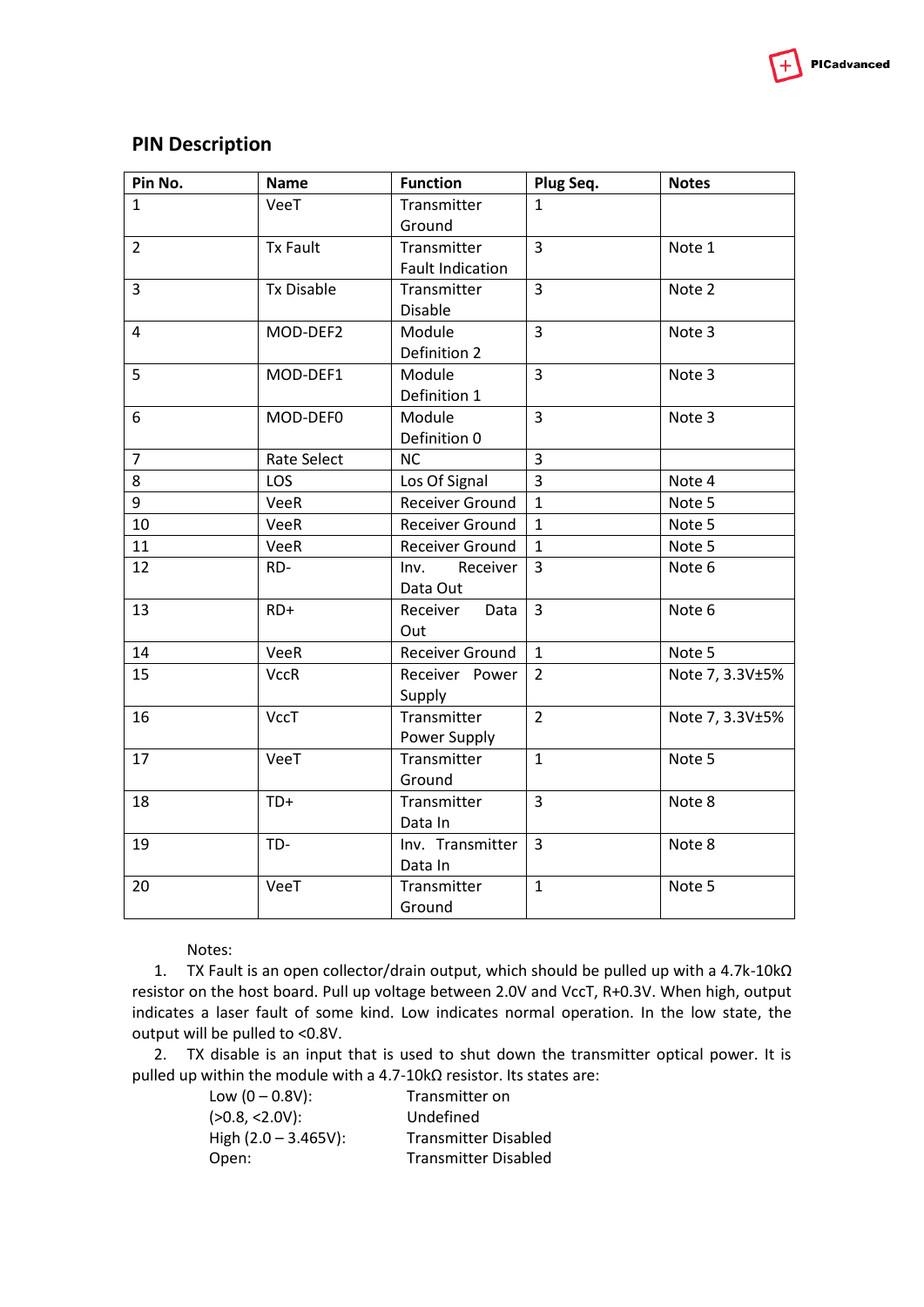

### **PIN Description**

| Pin No.        | <b>Name</b>       | <b>Function</b>         | Plug Seq.      | <b>Notes</b>    |
|----------------|-------------------|-------------------------|----------------|-----------------|
| $\mathbf{1}$   | VeeT              | Transmitter             | 1              |                 |
|                |                   | Ground                  |                |                 |
| $\overline{2}$ | <b>Tx Fault</b>   | Transmitter             | $\overline{3}$ | Note 1          |
|                |                   | <b>Fault Indication</b> |                |                 |
| 3              | <b>Tx Disable</b> | Transmitter             | $\overline{3}$ | Note 2          |
|                |                   | Disable                 |                |                 |
| 4              | MOD-DEF2          | Module                  | $\overline{3}$ | Note 3          |
|                |                   | Definition 2            |                |                 |
| 5              | MOD-DEF1          | Module                  | $\mathsf{3}$   | Note 3          |
|                |                   | Definition 1            |                |                 |
| 6              | MOD-DEF0          | Module                  | $\mathsf{3}$   | Note 3          |
|                |                   | Definition 0            |                |                 |
| $\overline{7}$ | Rate Select       | <b>NC</b>               | $\overline{3}$ |                 |
| 8              | LOS               | Los Of Signal           | $\overline{3}$ | Note 4          |
| 9              | VeeR              | <b>Receiver Ground</b>  | $\mathbf{1}$   | Note 5          |
| 10             | VeeR              | Receiver Ground         | $\mathbf{1}$   | Note 5          |
| 11             | VeeR              | Receiver Ground         | $\mathbf{1}$   | Note 5          |
| 12             | RD-               | Receiver<br>Inv.        | $\overline{3}$ | Note 6          |
|                |                   | Data Out                |                |                 |
| 13             | RD+               | Receiver<br>Data        | $\overline{3}$ | Note 6          |
|                |                   | Out                     |                |                 |
| 14             | VeeR              | <b>Receiver Ground</b>  | $\mathbf{1}$   | Note 5          |
| 15             | <b>VccR</b>       | Receiver Power          | $\overline{2}$ | Note 7, 3.3V±5% |
|                |                   | Supply                  |                |                 |
| 16             | <b>VccT</b>       | Transmitter             | $\overline{2}$ | Note 7, 3.3V±5% |
|                |                   | Power Supply            |                |                 |
| 17             | VeeT              | Transmitter             | $\mathbf{1}$   | Note 5          |
|                |                   | Ground                  |                |                 |
| 18             | TD+               | Transmitter             | $\overline{3}$ | Note 8          |
|                |                   | Data In                 |                |                 |
| 19             | TD-               | Inv. Transmitter        | $\overline{3}$ | Note 8          |
|                |                   | Data In                 |                |                 |
| 20             | VeeT              | Transmitter             | $\mathbf{1}$   | Note 5          |
|                |                   | Ground                  |                |                 |

Notes:

1. TX Fault is an open collector/drain output, which should be pulled up with a 4.7k-10kΩ resistor on the host board. Pull up voltage between 2.0V and VccT, R+0.3V. When high, output indicates a laser fault of some kind. Low indicates normal operation. In the low state, the output will be pulled to <0.8V.

2. TX disable is an input that is used to shut down the transmitter optical power. It is pulled up within the module with a 4.7-10kΩ resistor. Its states are:

| Low $(0 - 0.8V)$ :      | Transmitter on              |
|-------------------------|-----------------------------|
| $(>0.8, <2.0V)$ :       | Undefined                   |
| High $(2.0 - 3.465V)$ : | <b>Transmitter Disabled</b> |
| Open:                   | <b>Transmitter Disabled</b> |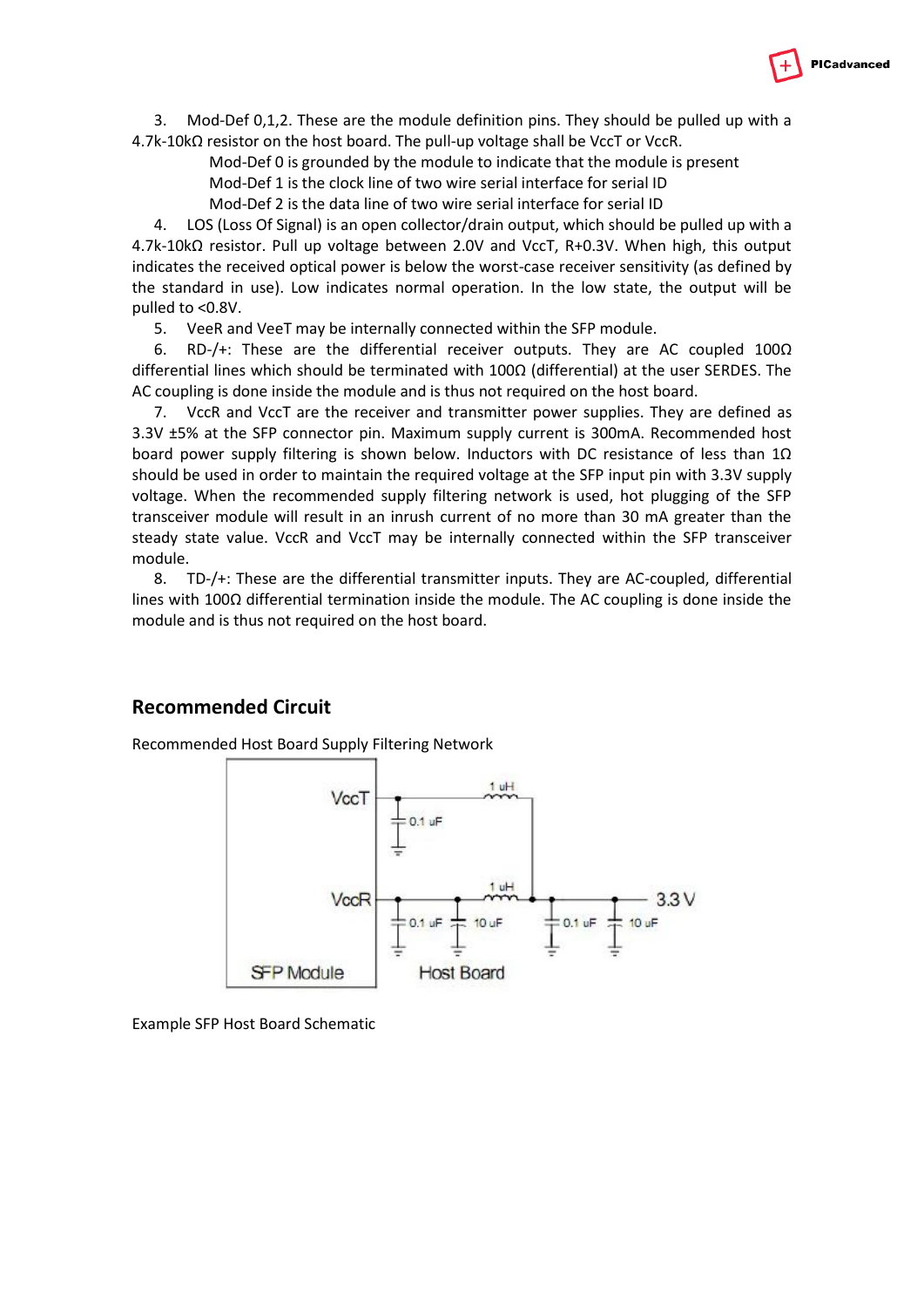

3. Mod-Def 0,1,2. These are the module definition pins. They should be pulled up with a 4.7k-10kΩ resistor on the host board. The pull-up voltage shall be VccT or VccR.

Mod-Def 0 is grounded by the module to indicate that the module is present

Mod-Def 1 is the clock line of two wire serial interface for serial ID

Mod-Def 2 is the data line of two wire serial interface for serial ID

4. LOS (Loss Of Signal) is an open collector/drain output, which should be pulled up with a 4.7k-10kΩ resistor. Pull up voltage between 2.0V and VccT, R+0.3V. When high, this output indicates the received optical power is below the worst-case receiver sensitivity (as defined by the standard in use). Low indicates normal operation. In the low state, the output will be pulled to <0.8V.

5. VeeR and VeeT may be internally connected within the SFP module.

6. RD-/+: These are the differential receiver outputs. They are AC coupled 100Ω differential lines which should be terminated with  $100\Omega$  (differential) at the user SERDES. The AC coupling is done inside the module and is thus not required on the host board.

7. VccR and VccT are the receiver and transmitter power supplies. They are defined as 3.3V ±5% at the SFP connector pin. Maximum supply current is 300mA. Recommended host board power supply filtering is shown below. Inductors with DC resistance of less than 1Ω should be used in order to maintain the required voltage at the SFP input pin with 3.3V supply voltage. When the recommended supply filtering network is used, hot plugging of the SFP transceiver module will result in an inrush current of no more than 30 mA greater than the steady state value. VccR and VccT may be internally connected within the SFP transceiver module.

8. TD-/+: These are the differential transmitter inputs. They are AC-coupled, differential lines with 100Ω differential termination inside the module. The AC coupling is done inside the module and is thus not required on the host board.

### **Recommended Circuit**

Recommended Host Board Supply Filtering Network



Example SFP Host Board Schematic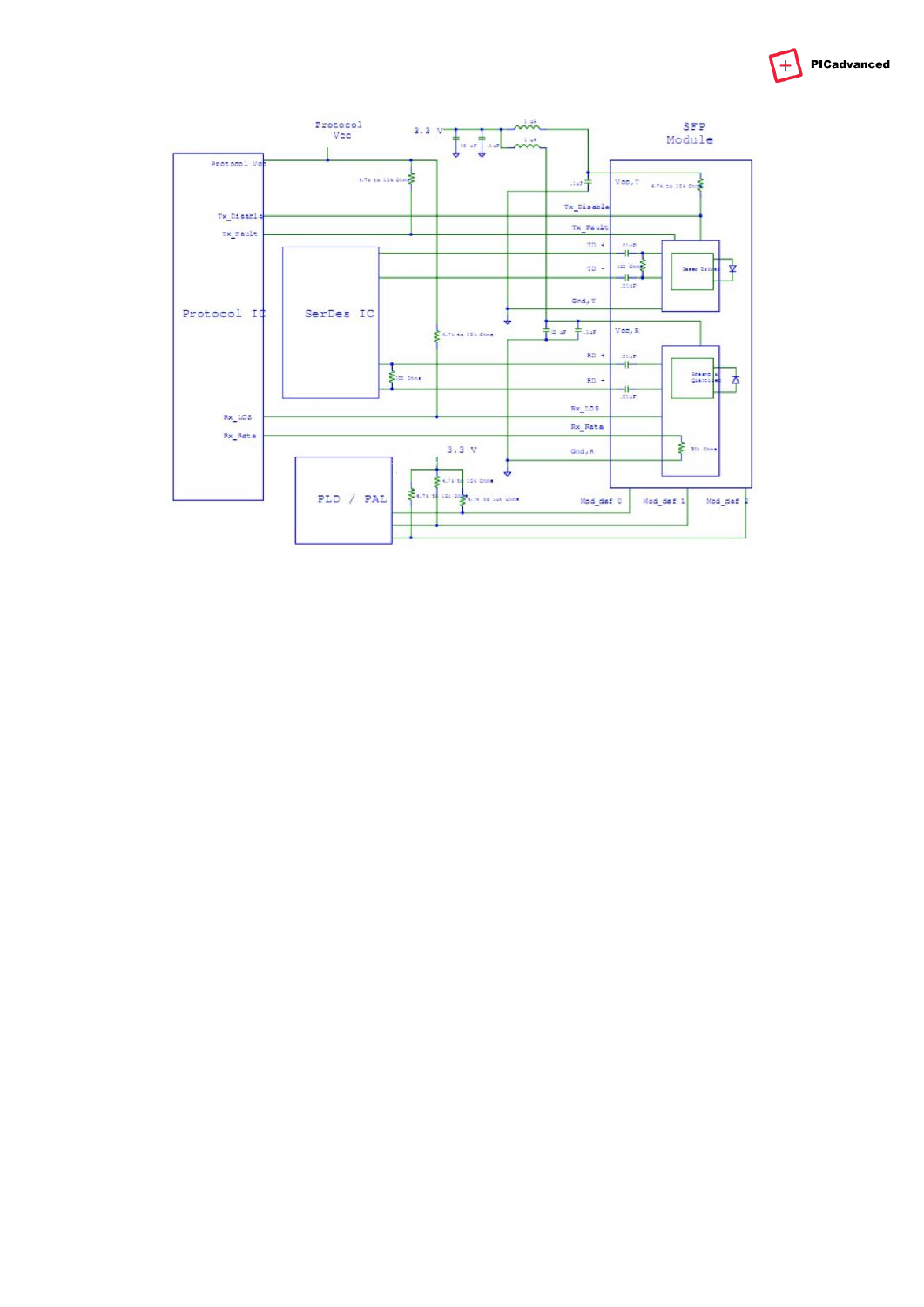